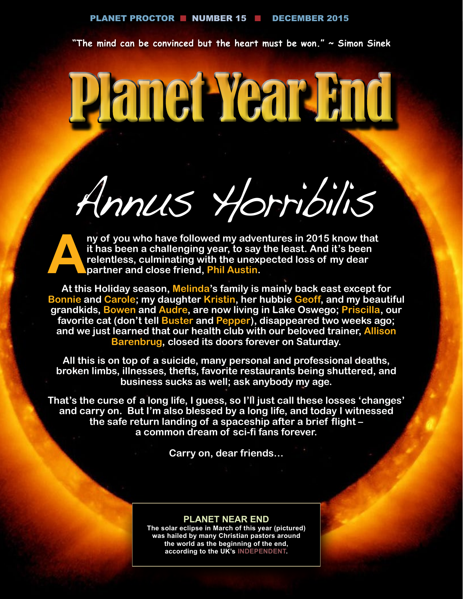**"The mind can be convinced but the heart must be won." ~ Simon Sinek**

# Planet Year End

Annus Horribilis

**A** ny of you who have followed my adventures in 2015 know that it has been a challenging year, to say the least. And it's been relentless, culminating with the unexpected loss of my dear partner and close friend, Phil Aus **it has been a challenging year, to say the least. And it's been relentless, culminating with the unexpected loss of my dear partner and close friend, Phil Austin.** 

**At this Holiday season, Melinda's family is mainly back east except for Bonnie and Carole; my daughter Kristin, her hubbie Geoff, and my beautiful grandkids, Bowen and Audre, are now living in Lake Oswego; Priscilla, our favorite cat (don't tell Buster and Pepper), disappeared two weeks ago; and we just learned that our health club with our beloved trainer, Allison Barenbrug, closed its doors forever on Saturday.** 

**All this is on top of a suicide, many personal and professional deaths, broken limbs, illnesses, thefts, favorite restaurants being shuttered, and business sucks as well; ask anybody my age.**

**That's the curse of a long life, I guess, so I'll just call these losses 'changes' and carry on. But I'm also blessed by a long life, and today I witnessed the safe return landing of a spaceship after a brief flight – a common dream of sci-fi fans forever.**

**Carry on, dear friends…**

#### **PLANET NEAR END**

**The solar eclipse in March of this year (pictured) was hailed by many Christian pastors around the world as the beginning of the end, according to the UK's [INDEPENDENT](http://www.independent.co.uk/news/science/fridays-solar-eclipse-will-be-the-beginning-of-the-end-of-the-world-say-christian-pastors-10114298.html).**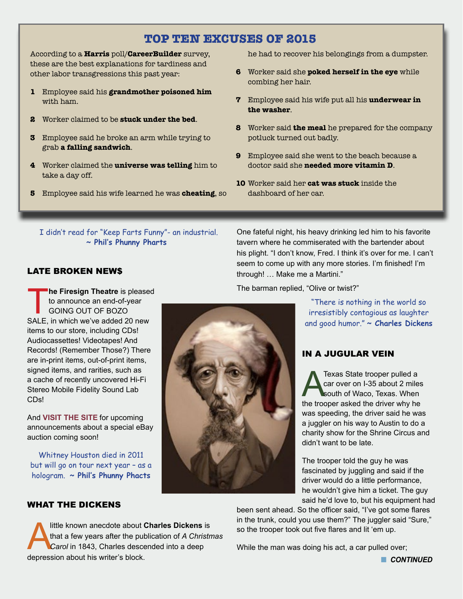# **TOP TEN EXCUSES OF 2015**

According to a **Harris** poll/**CareerBuilder** survey, these are the best explanations for tardiness and other labor transgressions this past year:

- **1** Employee said his **grandmother poisoned him** with ham.
- **2** Worker claimed to be **stuck under the bed**.
- **3** Employee said he broke an arm while trying to grab **a falling sandwich**.
- **4** Worker claimed the **universe was telling** him to take a day off.
- **5** Employee said his wife learned he was **cheating**, so

he had to recover his belongings from a dumpster.

- **6** Worker said she **poked herself in the eye** while combing her hair.
- **7** Employee said his wife put all his **underwear in the washer**.
- **8** Worker said **the meal** he prepared for the company potluck turned out badly.
- **9** Employee said she went to the beach because a doctor said she **needed more vitamin D**.
- **10** Worker said her **cat was stuck** inside the dashboard of her car.

 I didn't read for "Keep Farts Funny"- an industrial. **~ Phil's Phunny Pharts**

One fateful night, his heavy drinking led him to his favorite tavern where he commiserated with the bartender about his plight. "I don't know, Fred. I think it's over for me. I can't seem to come up with any more stories. I'm finished! I'm through! … Make me a Martini."

The barman replied, "Olive or twist?"

"There is nothing in the world so irresistibly contagious as laughter and good humor." **~ Charles Dickens**

# IN A JUGULAR VEIN

Texas State trooper pulled a<br>car over on I-35 about 2 mile<br>south of Waco, Texas. When<br>the trooper asked the driver why be car over on I-35 about 2 miles south of Waco, Texas. When the trooper asked the driver why he was speeding, the driver said he was a juggler on his way to Austin to do a charity show for the Shrine Circus and didn't want to be late.

The trooper told the guy he was fascinated by juggling and said if the driver would do a little performance, he wouldn't give him a ticket. The guy said he'd love to, but his equipment had

been sent ahead. So the officer said, "I've got some flares in the trunk, could you use them?" The juggler said "Sure," so the trooper took out five flares and lit 'em up.

While the man was doing his act, a car pulled over;

LATE BROKEN NEW\$

**he Firesign Theatre** is pleased to announce an end-of-year GOING OUT OF BOZO SALE, in which we've added 20 new items to our store, including CDs! Audiocassettes! Videotapes! And Records! (Remember Those?) There are in-print items, out-of-print items, signed items, and rarities, such as a cache of recently uncovered Hi-Fi Stereo Mobile Fidelity Sound Lab CDs!

And **[VISIT THE SITE](http://firesigntheatre.com/firesale/firesale.php)** for upcoming announcements about a special eBay auction coming soon!

Whitney Houston died in 2011 but will go on tour next year – as a hologram. **~ Phil's Phunny Phacts** 

#### WHAT THE DICKENS

little known anecdote about **Charles Dickens** is<br>that a few years after the publication of A Christnes<br>Carol in 1843, Charles descended into a deep that a few years after the publication of *A Christmas*  Carol in 1843, Charles descended into a deep depression about his writer's block.

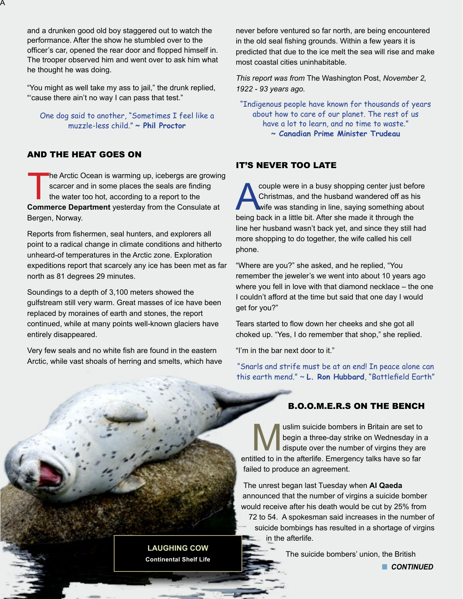and a drunken good old boy staggered out to watch the performance. After the show he stumbled over to the officer's car, opened the rear door and flopped himself in. The trooper observed him and went over to ask him what he thought he was doing.

"You might as well take my ass to jail," the drunk replied, "'cause there ain't no way I can pass that test."

One dog said to another, "Sometimes I feel like a muzzle-less child." **~ Phil Proctor**

### AND THE HEAT GOES ON

A

The Arctic Ocean is warming up, icebergs are growing scarcer and in some places the seals are finding the water too hot, according to a report to the **Commerce Department** yesterday from the Consulate at Bergen, Norway.

Reports from fishermen, seal hunters, and explorers all point to a radical change in climate conditions and hitherto unheard-of temperatures in the Arctic zone. Exploration expeditions report that scarcely any ice has been met as far north as 81 degrees 29 minutes.

Soundings to a depth of 3,100 meters showed the gulfstream still very warm. Great masses of ice have been replaced by moraines of earth and stones, the report continued, while at many points well-known glaciers have entirely disappeared.

Very few seals and no white fish are found in the eastern Arctic, while vast shoals of herring and smelts, which have never before ventured so far north, are being encountered in the old seal fishing grounds. Within a few years it is predicted that due to the ice melt the sea will rise and make most coastal cities uninhabitable.

*This report was from* The Washington Post, *November 2, 1922 - 93 years ago.*

"Indigenous people have known for thousands of years about how to care of our planet. The rest of us have a lot to learn, and no time to waste." **~ Canadian Prime Minister Trudeau**

#### IT'S NEVER TOO LATE

Christmas, and the husband wandered off as his<br>wife was standing in line, saying something about<br>heing back in a little bit. After she made it through the Christmas, and the husband wandered off as his wife was standing in line, saying something about being back in a little bit. After she made it through the line her husband wasn't back yet, and since they still had more shopping to do together, the wife called his cell phone.

"Where are you?" she asked, and he replied, "You remember the jeweler's we went into about 10 years ago where you fell in love with that diamond necklace – the one I couldn't afford at the time but said that one day I would get for you?"

Tears started to flow down her cheeks and she got all choked up. "Yes, I do remember that shop," she replied.

"I'm in the bar next door to it."

"Snarls and strife must be at an end! In peace alone can this earth mend." ~ **L. Ron Hubbard**, "Battlefield Earth"

# B.O.O.M.E.R.S ON THE BENCH

Wegin a three-day strike on Wednesday in a three-day strike on Wednesday in a dispute over the number of virgins they are in the affectife. Emergency talks have so far begin a three-day strike on Wednesday in a dispute over the number of virgins they are entitled to in the afterlife. Emergency talks have so far failed to produce an agreement.

The unrest began last Tuesday when **Al Qaeda** announced that the number of virgins a suicide bomber would receive after his death would be cut by 25% from

72 to 54. A spokesman said increases in the number of suicide bombings has resulted in a shortage of virgins in the afterlife.

The suicide bombers' union, the British

**n** CONTINUED

**LAUGHING COW Continental Shelf Life**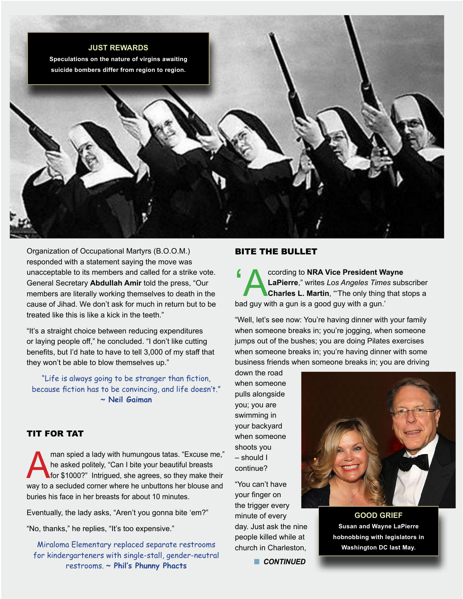

Organization of Occupational Martyrs (B.O.O.M.) responded with a statement saying the move was unacceptable to its members and called for a strike vote. General Secretary **Abdullah Amir** told the press, "Our members are literally working themselves to death in the cause of Jihad. We don't ask for much in return but to be treated like this is like a kick in the teeth."

"It's a straight choice between reducing expenditures or laying people off," he concluded. "I don't like cutting benefits, but I'd hate to have to tell 3,000 of my staff that they won't be able to blow themselves up."

"Life is always going to be stranger than fiction, because fiction has to be convincing, and life doesn't." **~ Neil Gaiman**

#### TIT FOR TAT

man spied a lady with humungous tatas. "Excuse me,"<br>he asked politely, "Can I bite your beautiful breasts<br>for \$1000?" Intrigued, she agrees, so they make their<br>way to a seculded corner where be unbuttons her blouse and he asked politely, "Can I bite your beautiful breasts for \$1000?" Intrigued, she agrees, so they make their way to a secluded corner where he unbuttons her blouse and buries his face in her breasts for about 10 minutes.

Eventually, the lady asks, "Aren't you gonna bite 'em?"

"No, thanks," he replies, "It's too expensive."

Miraloma Elementary replaced separate restrooms for kindergarteners with single-stall, gender-neutral restrooms. **~ Phil's Phunny Phacts**

#### BITE THE BULLET

Cording to **NRA Vice President Wayne**<br>
LaPierre," writes *Los Angeles Times* sub-<br>
Charles L. Martin, "The only thing that s **LaPierre**," writes *Los Angeles Times* subscriber **Charles L. Martin**, "'The only thing that stops a bad guy with a gun is a good guy with a gun.'

"Well, let's see now: You're having dinner with your family when someone breaks in; you're jogging, when someone jumps out of the bushes; you are doing Pilates exercises when someone breaks in; you're having dinner with some business friends when someone breaks in; you are driving

down the road when someone pulls alongside you; you are swimming in your backyard when someone shoots you – should I continue?

"You can't have your finger on the trigger every minute of every day. Just ask the nine people killed while at church in Charleston,

**n** CONTINUED



**GOOD GRIEF Susan and Wayne LaPierre hobnobbing with legislators in Washington DC last May.**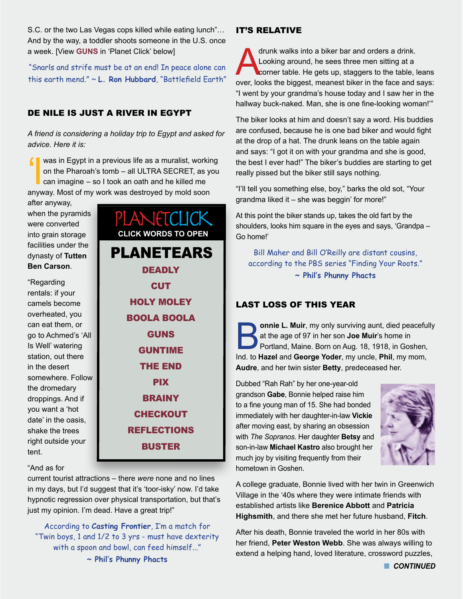S.C. or the two Las Vegas cops killed while eating lunch"… And by the way, a toddler shoots someone in the U.S. once a week. [View **[GUNS](https://m.youtube.com/watch?v=0rR9IaXH1M0)** in 'Planet Click' below]

"Snarls and strife must be at an end! In peace alone can this earth mend." ~ **L. Ron Hubbard**, "Battlefield Earth"

## DE NILE IS JUST A RIVER IN EGYPT

*A friend is considering a holiday trip to Egypt and asked for advice. Here it is:*

 $\blacksquare$  was in Egypt in a previous life as a muralist, working on the Pharoah's tomb – all ULTRA SECRET, as you can imagine – so I took an oath and he killed me anyway. Most of my work was destroyed by mold soon

after anyway, when the pyramids were converted into grain storage facilities under the dynasty of **Tutten Ben Carson**.

"Regarding rentals: if your camels become overheated, you can eat them, or go to Achmed's 'All Is Well' watering station, out there in the desert somewhere. Follow the dromedary droppings. And if you want a 'hot date' in the oasis, shake the trees right outside your tent.

PLANETEARS **[DEADLY](https://www.youtube.com/watch?v=GBvfiCdk-jc&app=desktop) [CUT](http://www.dailymail.co.uk/news/article-3344251/Fancy-cut-blowtorch-Real-life-Edward-Scissorhands-uses-samurai-swords-fire-specially-claws-achieve-perfect-hairstyles.html)** [HOLY MOLEY](https://www.youtube.com/watch?v=zEnWw_lH4tQ) [BOOLA BOOLA](http://yale1962.org/speakout/?page_id=2934) [GUNS](https://m.youtube.com/watch?v=0rR9IaXH1M0) [GUNTIME](https://www.facebook.com/Quaker.Joe/videos/1533716663616161/?pnref=story) [THE END](https://www.youtube.com/embed/_43f9RzAqMM) **[PIX](http://brightside.me/article/25-stunning-shots-that-will-captivate-even-professional-photographers-57455/)** [BRAINY](http://1funny.com/the-bar-brain-surgeon/) **[CHECKOUT](http://tinyurl.com/lptgzqv)** [REFLECTIONS](http://www.ba-bamail.com/content.aspx?emailid=18594&memberid=823000) [BUSTER](https://www.youtube.com/watch?v=UWEjxkkB8Xs) **CLICK WORDS TO OPEN**

PLANETCLICK

#### "And as for

current tourist attractions – there *were* none and no lines in my days, but I'd suggest that it's 'toor-isky' now. I'd take hypnotic regression over physical transportation, but that's just my opinion. I'm dead. Have a great trip!"

According to **Casting Frontier**, I'm a match for "Twin boys, 1 and 1/2 to 3 yrs - must have dexterity with a spoon and bowl, can feed himself..."

**~ Phil's Phunny Phacts**

#### IT'S RELATIVE

drunk walks into a biker bar and orders a drink.<br>Looking around, he sees three men sitting at a<br>corner table. He gets up, staggers to the table, l Looking around, he sees three men sitting at a corner table. He gets up, staggers to the table, leans over, looks the biggest, meanest biker in the face and says: "I went by your grandma's house today and I saw her in the hallway buck-naked. Man, she is one fine-looking woman!'"

The biker looks at him and doesn't say a word. His buddies are confused, because he is one bad biker and would fight at the drop of a hat. The drunk leans on the table again and says: "I got it on with your grandma and she is good, the best I ever had!" The biker's buddies are starting to get really pissed but the biker still says nothing.

"I'll tell you something else, boy," barks the old sot, "Your grandma liked it – she was beggin' for more!"

At this point the biker stands up, takes the old fart by the shoulders, looks him square in the eyes and says, 'Grandpa – Go home!'

Bill Maher and Bill O'Reilly are distant cousins, according to the PBS series "Finding Your Roots." **~ Phil's Phunny Phacts**

### LAST LOSS OF THIS YEAR

**Bonnie L. Muir**, my only surviving aunt, died peacefully<br>at the age of 97 in her son **Joe Muir's** home in<br>Portland, Maine. Born on Aug. 18, 1918, in Goshen,<br>Ind, to Hazel and George Yoder, my uncle Phil, my mom at the age of 97 in her son **Joe Muir**'s home in Portland, Maine. Born on Aug. 18, 1918, in Goshen, Ind. to **Hazel** and **George Yoder**, my uncle, **Phil**, my mom, **Audre**, and her twin sister **Betty**, predeceased her.

Dubbed "Rah Rah" by her one-year-old grandson **Gabe**, Bonnie helped raise him to a fine young man of 15. She had bonded immediately with her daughter-in-law **Vickie** after moving east, by sharing an obsession with *The Sopranos*. Her daughter **Betsy** and son-in-law **Michael Kastro** also brought her much joy by visiting frequently from their hometown in Goshen.



A college graduate, Bonnie lived with her twin in Greenwich Village in the '40s where they were intimate friends with established artists like **Berenice Abbott** and **Patricia Highsmith**, and there she met her future husband, **Fitch**.

After his death, Bonnie traveled the world in her 80s with her friend, **Peter Weston Webb**. She was always willing to extend a helping hand, loved literature, crossword puzzles,